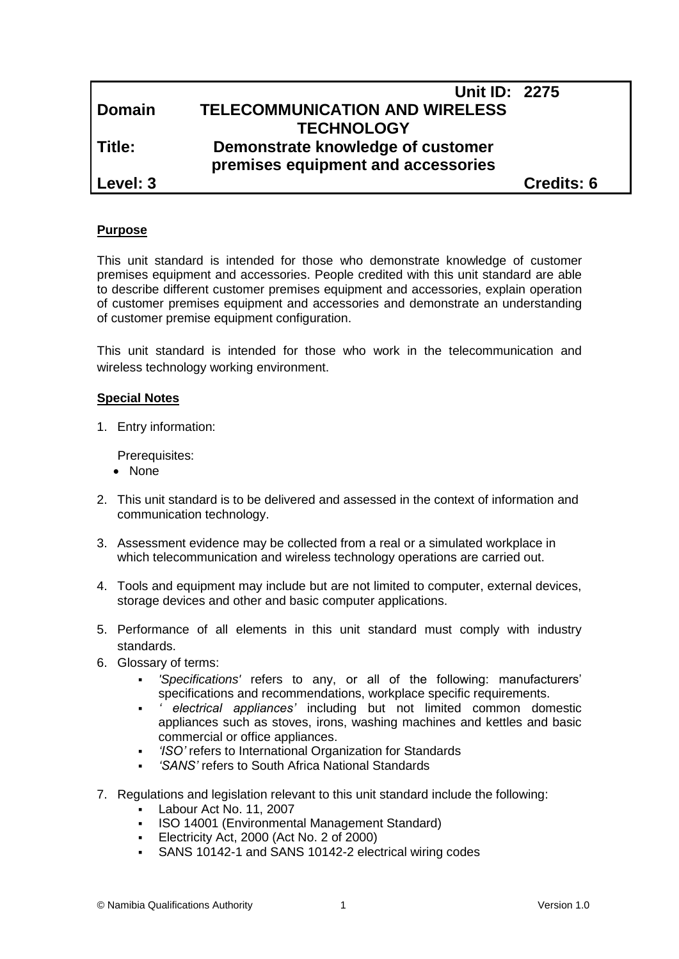|               | <b>Unit ID: 2275</b>                  |                   |
|---------------|---------------------------------------|-------------------|
| <b>Domain</b> | <b>TELECOMMUNICATION AND WIRELESS</b> |                   |
|               | <b>TECHNOLOGY</b>                     |                   |
| Title:        | Demonstrate knowledge of customer     |                   |
|               | premises equipment and accessories    |                   |
| Level: 3      |                                       | <b>Credits: 6</b> |

#### **Purpose**

This unit standard is intended for those who demonstrate knowledge of customer premises equipment and accessories. People credited with this unit standard are able to describe different customer premises equipment and accessories, explain operation of customer premises equipment and accessories and demonstrate an understanding of customer premise equipment configuration.

This unit standard is intended for those who work in the telecommunication and wireless technology working environment.

#### **Special Notes**

1. Entry information:

Prerequisites:

- None
- 2. This unit standard is to be delivered and assessed in the context of information and communication technology.
- 3. Assessment evidence may be collected from a real or a simulated workplace in which telecommunication and wireless technology operations are carried out.
- 4. Tools and equipment may include but are not limited to computer, external devices, storage devices and other and basic computer applications.
- 5. Performance of all elements in this unit standard must comply with industry standards.
- 6. Glossary of terms:
	- *'Specifications'* refers to any, or all of the following: manufacturers' specifications and recommendations, workplace specific requirements.
	- *' electrical appliances'* including but not limited common domestic appliances such as stoves, irons, washing machines and kettles and basic commercial or office appliances.
	- *'ISO'* refers to International Organization for Standards
	- *'SANS'* refers to South Africa National Standards
- 7. Regulations and legislation relevant to this unit standard include the following:
	- Labour Act No. 11, 2007
	- ISO 14001 (Environmental Management Standard)
	- Electricity Act, 2000 (Act No. 2 of 2000)
	- SANS 10142-1 and SANS 10142-2 electrical wiring codes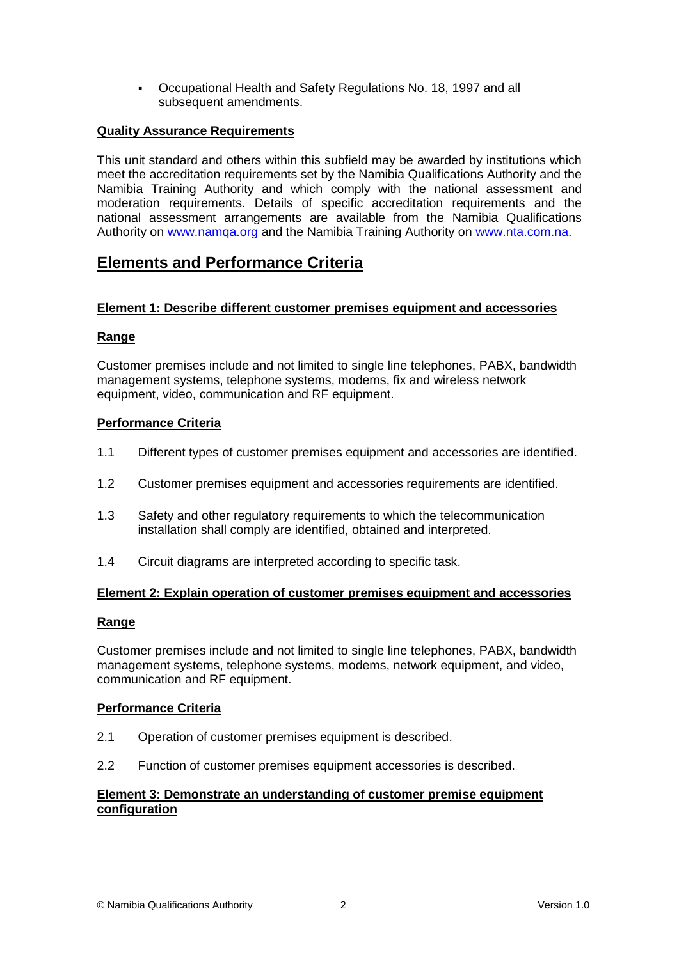Occupational Health and Safety Regulations No. 18, 1997 and all subsequent amendments.

#### **Quality Assurance Requirements**

This unit standard and others within this subfield may be awarded by institutions which meet the accreditation requirements set by the Namibia Qualifications Authority and the Namibia Training Authority and which comply with the national assessment and moderation requirements. Details of specific accreditation requirements and the national assessment arrangements are available from the Namibia Qualifications Authority on [www.namqa.org](http://www.namqa.org/) and the Namibia Training Authority on [www.nta.com.na.](http://www.nta.com.na/)

## **Elements and Performance Criteria**

#### **Element 1: Describe different customer premises equipment and accessories**

### **Range**

Customer premises include and not limited to single line telephones, PABX, bandwidth management systems, telephone systems, modems, fix and wireless network equipment, video, communication and RF equipment.

### **Performance Criteria**

- 1.1 Different types of customer premises equipment and accessories are identified.
- 1.2 Customer premises equipment and accessories requirements are identified.
- 1.3 Safety and other regulatory requirements to which the telecommunication installation shall comply are identified, obtained and interpreted.
- 1.4 Circuit diagrams are interpreted according to specific task.

#### **Element 2: Explain operation of customer premises equipment and accessories**

#### **Range**

Customer premises include and not limited to single line telephones, PABX, bandwidth management systems, telephone systems, modems, network equipment, and video, communication and RF equipment.

#### **Performance Criteria**

- 2.1 Operation of customer premises equipment is described.
- 2.2 Function of customer premises equipment accessories is described.

### **Element 3: Demonstrate an understanding of customer premise equipment configuration**